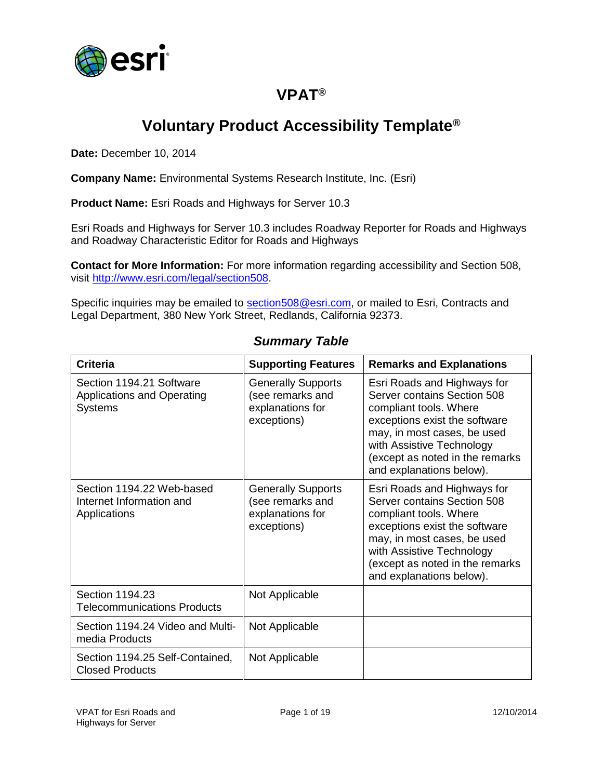

# **VPAT®**

# **Voluntary Product Accessibility Template®**

**Date:** December 10, 2014

**Company Name:** Environmental Systems Research Institute, Inc. (Esri)

**Product Name:** Esri Roads and Highways for Server 10.3

Esri Roads and Highways for Server 10.3 includes Roadway Reporter for Roads and Highways and Roadway Characteristic Editor for Roads and Highways

**Contact for More Information:** For more information regarding accessibility and Section 508, visit [http://www.esri.com/legal/section508.](http://www.esri.com/legal/section508)

Specific inquiries may be emailed to [section508@esri.com,](mailto:section508@esri.com) or mailed to Esri, Contracts and Legal Department, 380 New York Street, Redlands, California 92373.

| <b>Criteria</b>                                                          | <b>Supporting Features</b>                                                       | <b>Remarks and Explanations</b>                                                                                                                                                                                                                  |
|--------------------------------------------------------------------------|----------------------------------------------------------------------------------|--------------------------------------------------------------------------------------------------------------------------------------------------------------------------------------------------------------------------------------------------|
| Section 1194.21 Software<br>Applications and Operating<br><b>Systems</b> | <b>Generally Supports</b><br>(see remarks and<br>explanations for<br>exceptions) | Esri Roads and Highways for<br>Server contains Section 508<br>compliant tools. Where<br>exceptions exist the software<br>may, in most cases, be used<br>with Assistive Technology<br>(except as noted in the remarks<br>and explanations below). |
| Section 1194.22 Web-based<br>Internet Information and<br>Applications    | <b>Generally Supports</b><br>(see remarks and<br>explanations for<br>exceptions) | Esri Roads and Highways for<br>Server contains Section 508<br>compliant tools. Where<br>exceptions exist the software<br>may, in most cases, be used<br>with Assistive Technology<br>(except as noted in the remarks<br>and explanations below). |
| Section 1194.23<br><b>Telecommunications Products</b>                    | Not Applicable                                                                   |                                                                                                                                                                                                                                                  |
| Section 1194.24 Video and Multi-<br>media Products                       | Not Applicable                                                                   |                                                                                                                                                                                                                                                  |
| Section 1194.25 Self-Contained,<br><b>Closed Products</b>                | Not Applicable                                                                   |                                                                                                                                                                                                                                                  |

#### *Summary Table*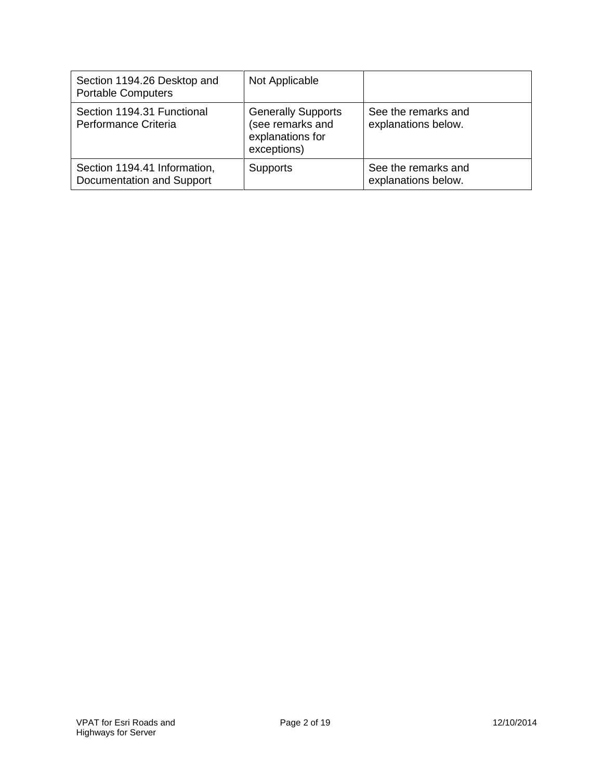| Section 1194.26 Desktop and<br><b>Portable Computers</b>  | Not Applicable                                                                   |                                            |
|-----------------------------------------------------------|----------------------------------------------------------------------------------|--------------------------------------------|
| Section 1194.31 Functional<br>Performance Criteria        | <b>Generally Supports</b><br>(see remarks and<br>explanations for<br>exceptions) | See the remarks and<br>explanations below. |
| Section 1194.41 Information,<br>Documentation and Support | <b>Supports</b>                                                                  | See the remarks and<br>explanations below. |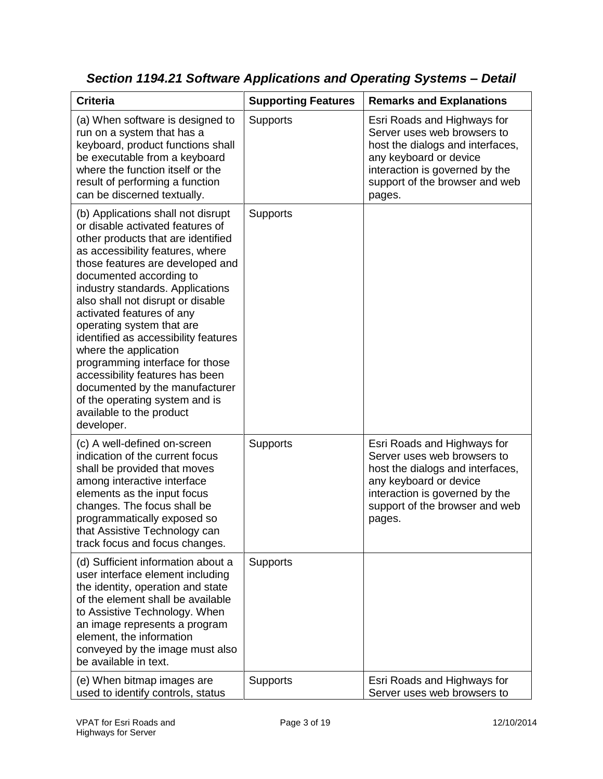| <b>Criteria</b>                                                                                                                                                                                                                                                                                                                                                                                                                                                                                                                                                                                         | <b>Supporting Features</b> | <b>Remarks and Explanations</b>                                                                                                                                                                        |
|---------------------------------------------------------------------------------------------------------------------------------------------------------------------------------------------------------------------------------------------------------------------------------------------------------------------------------------------------------------------------------------------------------------------------------------------------------------------------------------------------------------------------------------------------------------------------------------------------------|----------------------------|--------------------------------------------------------------------------------------------------------------------------------------------------------------------------------------------------------|
| (a) When software is designed to<br>run on a system that has a<br>keyboard, product functions shall<br>be executable from a keyboard<br>where the function itself or the<br>result of performing a function<br>can be discerned textually.                                                                                                                                                                                                                                                                                                                                                              | <b>Supports</b>            | Esri Roads and Highways for<br>Server uses web browsers to<br>host the dialogs and interfaces,<br>any keyboard or device<br>interaction is governed by the<br>support of the browser and web<br>pages. |
| (b) Applications shall not disrupt<br>or disable activated features of<br>other products that are identified<br>as accessibility features, where<br>those features are developed and<br>documented according to<br>industry standards. Applications<br>also shall not disrupt or disable<br>activated features of any<br>operating system that are<br>identified as accessibility features<br>where the application<br>programming interface for those<br>accessibility features has been<br>documented by the manufacturer<br>of the operating system and is<br>available to the product<br>developer. | <b>Supports</b>            |                                                                                                                                                                                                        |
| (c) A well-defined on-screen<br>indication of the current focus<br>shall be provided that moves<br>among interactive interface<br>elements as the input focus<br>changes. The focus shall be<br>programmatically exposed so<br>that Assistive Technology can<br>track focus and focus changes.                                                                                                                                                                                                                                                                                                          | Supports                   | Esri Roads and Highways for<br>Server uses web browsers to<br>host the dialogs and interfaces,<br>any keyboard or device<br>interaction is governed by the<br>support of the browser and web<br>pages. |
| (d) Sufficient information about a<br>user interface element including<br>the identity, operation and state<br>of the element shall be available<br>to Assistive Technology. When<br>an image represents a program<br>element, the information<br>conveyed by the image must also<br>be available in text.                                                                                                                                                                                                                                                                                              | <b>Supports</b>            |                                                                                                                                                                                                        |
| (e) When bitmap images are<br>used to identify controls, status                                                                                                                                                                                                                                                                                                                                                                                                                                                                                                                                         | Supports                   | Esri Roads and Highways for<br>Server uses web browsers to                                                                                                                                             |

*Section 1194.21 Software Applications and Operating Systems – Detail*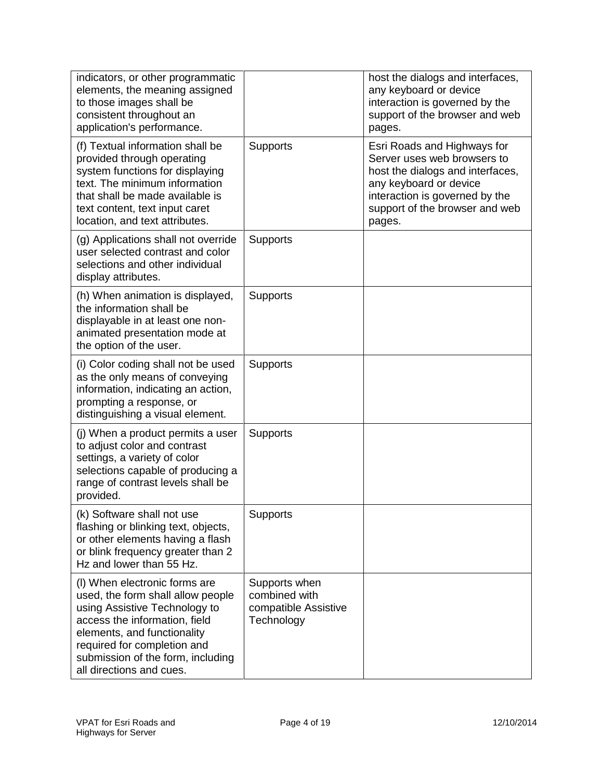| indicators, or other programmatic<br>elements, the meaning assigned<br>to those images shall be<br>consistent throughout an<br>application's performance.                                                                                                           |                                                                      | host the dialogs and interfaces,<br>any keyboard or device<br>interaction is governed by the<br>support of the browser and web<br>pages.                                                               |
|---------------------------------------------------------------------------------------------------------------------------------------------------------------------------------------------------------------------------------------------------------------------|----------------------------------------------------------------------|--------------------------------------------------------------------------------------------------------------------------------------------------------------------------------------------------------|
| (f) Textual information shall be<br>provided through operating<br>system functions for displaying<br>text. The minimum information<br>that shall be made available is<br>text content, text input caret<br>location, and text attributes.                           | <b>Supports</b>                                                      | Esri Roads and Highways for<br>Server uses web browsers to<br>host the dialogs and interfaces,<br>any keyboard or device<br>interaction is governed by the<br>support of the browser and web<br>pages. |
| (g) Applications shall not override<br>user selected contrast and color<br>selections and other individual<br>display attributes.                                                                                                                                   | <b>Supports</b>                                                      |                                                                                                                                                                                                        |
| (h) When animation is displayed,<br>the information shall be<br>displayable in at least one non-<br>animated presentation mode at<br>the option of the user.                                                                                                        | Supports                                                             |                                                                                                                                                                                                        |
| (i) Color coding shall not be used<br>as the only means of conveying<br>information, indicating an action,<br>prompting a response, or<br>distinguishing a visual element.                                                                                          | Supports                                                             |                                                                                                                                                                                                        |
| (i) When a product permits a user<br>to adjust color and contrast<br>settings, a variety of color<br>selections capable of producing a<br>range of contrast levels shall be<br>provided.                                                                            | <b>Supports</b>                                                      |                                                                                                                                                                                                        |
| (k) Software shall not use<br>flashing or blinking text, objects,<br>or other elements having a flash<br>or blink frequency greater than 2<br>Hz and lower than 55 Hz.                                                                                              | <b>Supports</b>                                                      |                                                                                                                                                                                                        |
| (I) When electronic forms are<br>used, the form shall allow people<br>using Assistive Technology to<br>access the information, field<br>elements, and functionality<br>required for completion and<br>submission of the form, including<br>all directions and cues. | Supports when<br>combined with<br>compatible Assistive<br>Technology |                                                                                                                                                                                                        |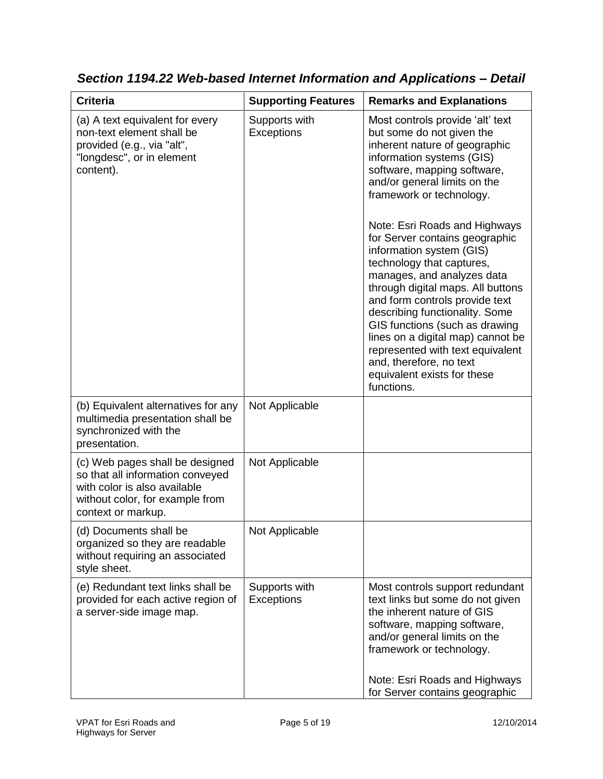| <b>Criteria</b>                                                                                                                                              | <b>Supporting Features</b>         | <b>Remarks and Explanations</b>                                                                                                                                                                                                                                                                                                                                                                                                                                                                                                                                                                                                                                              |
|--------------------------------------------------------------------------------------------------------------------------------------------------------------|------------------------------------|------------------------------------------------------------------------------------------------------------------------------------------------------------------------------------------------------------------------------------------------------------------------------------------------------------------------------------------------------------------------------------------------------------------------------------------------------------------------------------------------------------------------------------------------------------------------------------------------------------------------------------------------------------------------------|
| (a) A text equivalent for every<br>non-text element shall be<br>provided (e.g., via "alt",<br>"longdesc", or in element<br>content).                         | Supports with<br>Exceptions        | Most controls provide 'alt' text<br>but some do not given the<br>inherent nature of geographic<br>information systems (GIS)<br>software, mapping software,<br>and/or general limits on the<br>framework or technology.<br>Note: Esri Roads and Highways<br>for Server contains geographic<br>information system (GIS)<br>technology that captures,<br>manages, and analyzes data<br>through digital maps. All buttons<br>and form controls provide text<br>describing functionality. Some<br>GIS functions (such as drawing<br>lines on a digital map) cannot be<br>represented with text equivalent<br>and, therefore, no text<br>equivalent exists for these<br>functions. |
| (b) Equivalent alternatives for any<br>multimedia presentation shall be<br>synchronized with the<br>presentation.                                            | Not Applicable                     |                                                                                                                                                                                                                                                                                                                                                                                                                                                                                                                                                                                                                                                                              |
| (c) Web pages shall be designed<br>so that all information conveyed<br>with color is also available<br>without color, for example from<br>context or markup. | Not Applicable                     |                                                                                                                                                                                                                                                                                                                                                                                                                                                                                                                                                                                                                                                                              |
| (d) Documents shall be<br>organized so they are readable<br>without requiring an associated<br>style sheet.                                                  | Not Applicable                     |                                                                                                                                                                                                                                                                                                                                                                                                                                                                                                                                                                                                                                                                              |
| (e) Redundant text links shall be<br>provided for each active region of<br>a server-side image map.                                                          | Supports with<br><b>Exceptions</b> | Most controls support redundant<br>text links but some do not given<br>the inherent nature of GIS<br>software, mapping software,<br>and/or general limits on the<br>framework or technology.<br>Note: Esri Roads and Highways<br>for Server contains geographic                                                                                                                                                                                                                                                                                                                                                                                                              |

*Section 1194.22 Web-based Internet Information and Applications – Detail*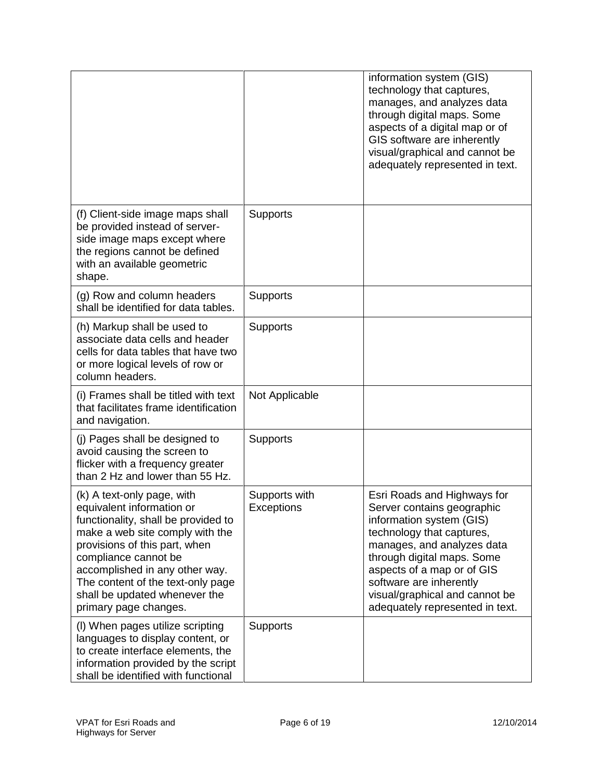|                                                                                                                                                                                                                                                                                                                             |                             | information system (GIS)<br>technology that captures,<br>manages, and analyzes data<br>through digital maps. Some<br>aspects of a digital map or of<br>GIS software are inherently<br>visual/graphical and cannot be<br>adequately represented in text.                                                      |
|-----------------------------------------------------------------------------------------------------------------------------------------------------------------------------------------------------------------------------------------------------------------------------------------------------------------------------|-----------------------------|--------------------------------------------------------------------------------------------------------------------------------------------------------------------------------------------------------------------------------------------------------------------------------------------------------------|
| (f) Client-side image maps shall<br>be provided instead of server-<br>side image maps except where<br>the regions cannot be defined<br>with an available geometric<br>shape.                                                                                                                                                | <b>Supports</b>             |                                                                                                                                                                                                                                                                                                              |
| (g) Row and column headers<br>shall be identified for data tables.                                                                                                                                                                                                                                                          | <b>Supports</b>             |                                                                                                                                                                                                                                                                                                              |
| (h) Markup shall be used to<br>associate data cells and header<br>cells for data tables that have two<br>or more logical levels of row or<br>column headers.                                                                                                                                                                | <b>Supports</b>             |                                                                                                                                                                                                                                                                                                              |
| (i) Frames shall be titled with text<br>that facilitates frame identification<br>and navigation.                                                                                                                                                                                                                            | Not Applicable              |                                                                                                                                                                                                                                                                                                              |
| (j) Pages shall be designed to<br>avoid causing the screen to<br>flicker with a frequency greater<br>than 2 Hz and lower than 55 Hz.                                                                                                                                                                                        | <b>Supports</b>             |                                                                                                                                                                                                                                                                                                              |
| (k) A text-only page, with<br>equivalent information or<br>functionality, shall be provided to<br>make a web site comply with the<br>provisions of this part, when<br>compliance cannot be<br>accomplished in any other way.<br>The content of the text-only page<br>shall be updated whenever the<br>primary page changes. | Supports with<br>Exceptions | Esri Roads and Highways for<br>Server contains geographic<br>information system (GIS)<br>technology that captures,<br>manages, and analyzes data<br>through digital maps. Some<br>aspects of a map or of GIS<br>software are inherently<br>visual/graphical and cannot be<br>adequately represented in text. |
| (I) When pages utilize scripting<br>languages to display content, or<br>to create interface elements, the<br>information provided by the script<br>shall be identified with functional                                                                                                                                      | <b>Supports</b>             |                                                                                                                                                                                                                                                                                                              |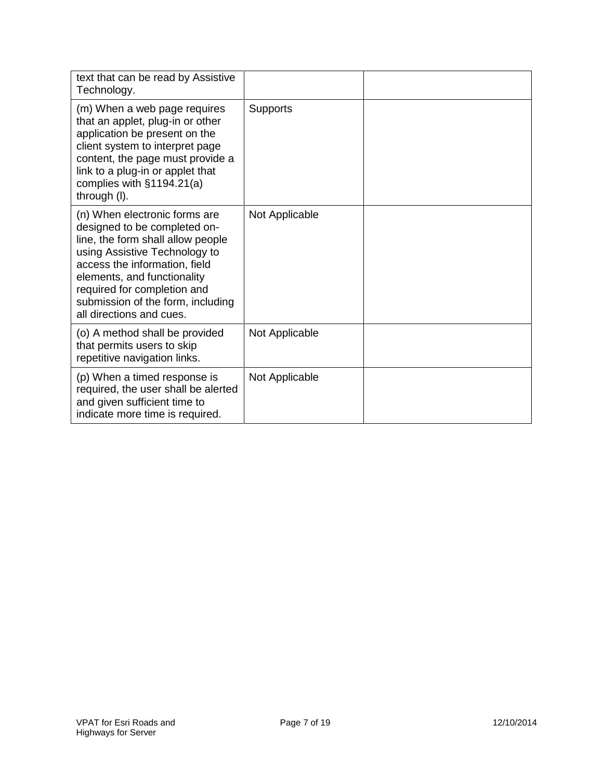| text that can be read by Assistive<br>Technology.                                                                                                                                                                                                                                                   |                 |  |
|-----------------------------------------------------------------------------------------------------------------------------------------------------------------------------------------------------------------------------------------------------------------------------------------------------|-----------------|--|
| (m) When a web page requires<br>that an applet, plug-in or other<br>application be present on the<br>client system to interpret page<br>content, the page must provide a<br>link to a plug-in or applet that<br>complies with $§1194.21(a)$<br>through (I).                                         | <b>Supports</b> |  |
| (n) When electronic forms are<br>designed to be completed on-<br>line, the form shall allow people<br>using Assistive Technology to<br>access the information, field<br>elements, and functionality<br>required for completion and<br>submission of the form, including<br>all directions and cues. | Not Applicable  |  |
| (o) A method shall be provided<br>that permits users to skip<br>repetitive navigation links.                                                                                                                                                                                                        | Not Applicable  |  |
| (p) When a timed response is<br>required, the user shall be alerted<br>and given sufficient time to<br>indicate more time is required.                                                                                                                                                              | Not Applicable  |  |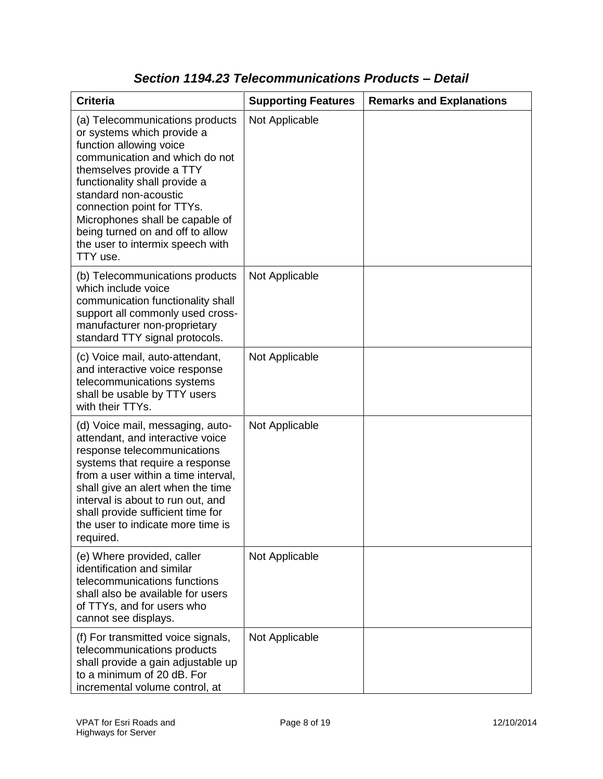| <b>Criteria</b>                                                                                                                                                                                                                                                                                                                                                       | <b>Supporting Features</b> | <b>Remarks and Explanations</b> |
|-----------------------------------------------------------------------------------------------------------------------------------------------------------------------------------------------------------------------------------------------------------------------------------------------------------------------------------------------------------------------|----------------------------|---------------------------------|
| (a) Telecommunications products<br>or systems which provide a<br>function allowing voice<br>communication and which do not<br>themselves provide a TTY<br>functionality shall provide a<br>standard non-acoustic<br>connection point for TTYs.<br>Microphones shall be capable of<br>being turned on and off to allow<br>the user to intermix speech with<br>TTY use. | Not Applicable             |                                 |
| (b) Telecommunications products<br>which include voice<br>communication functionality shall<br>support all commonly used cross-<br>manufacturer non-proprietary<br>standard TTY signal protocols.                                                                                                                                                                     | Not Applicable             |                                 |
| (c) Voice mail, auto-attendant,<br>and interactive voice response<br>telecommunications systems<br>shall be usable by TTY users<br>with their TTYs.                                                                                                                                                                                                                   | Not Applicable             |                                 |
| (d) Voice mail, messaging, auto-<br>attendant, and interactive voice<br>response telecommunications<br>systems that require a response<br>from a user within a time interval,<br>shall give an alert when the time<br>interval is about to run out, and<br>shall provide sufficient time for<br>the user to indicate more time is<br>required.                        | Not Applicable             |                                 |
| (e) Where provided, caller<br>identification and similar<br>telecommunications functions<br>shall also be available for users<br>of TTYs, and for users who<br>cannot see displays.                                                                                                                                                                                   | Not Applicable             |                                 |
| (f) For transmitted voice signals,<br>telecommunications products<br>shall provide a gain adjustable up<br>to a minimum of 20 dB. For<br>incremental volume control, at                                                                                                                                                                                               | Not Applicable             |                                 |

## *Section 1194.23 Telecommunications Products – Detail*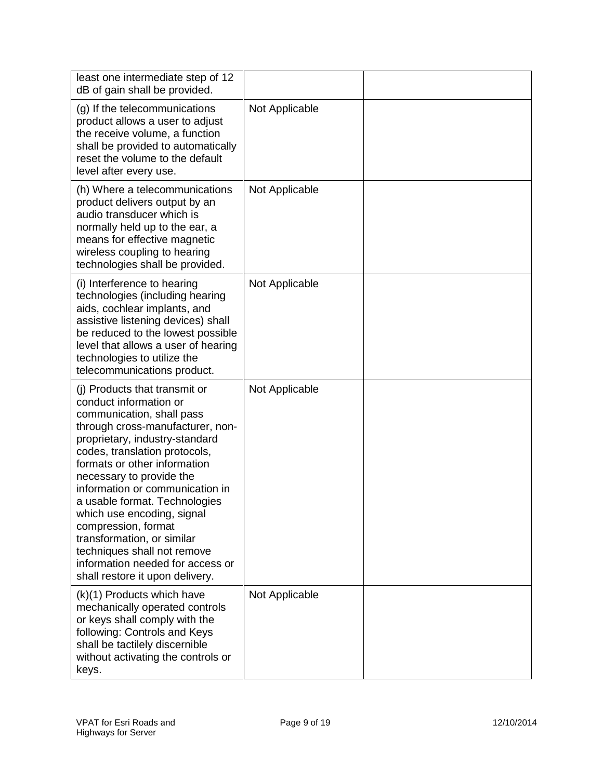| least one intermediate step of 12<br>dB of gain shall be provided.                                                                                                                                                                                                                                                                                                                                                                                                                                                   |                |  |
|----------------------------------------------------------------------------------------------------------------------------------------------------------------------------------------------------------------------------------------------------------------------------------------------------------------------------------------------------------------------------------------------------------------------------------------------------------------------------------------------------------------------|----------------|--|
| (g) If the telecommunications<br>product allows a user to adjust<br>the receive volume, a function<br>shall be provided to automatically<br>reset the volume to the default<br>level after every use.                                                                                                                                                                                                                                                                                                                | Not Applicable |  |
| (h) Where a telecommunications<br>product delivers output by an<br>audio transducer which is<br>normally held up to the ear, a<br>means for effective magnetic<br>wireless coupling to hearing<br>technologies shall be provided.                                                                                                                                                                                                                                                                                    | Not Applicable |  |
| (i) Interference to hearing<br>technologies (including hearing<br>aids, cochlear implants, and<br>assistive listening devices) shall<br>be reduced to the lowest possible<br>level that allows a user of hearing<br>technologies to utilize the<br>telecommunications product.                                                                                                                                                                                                                                       | Not Applicable |  |
| (i) Products that transmit or<br>conduct information or<br>communication, shall pass<br>through cross-manufacturer, non-<br>proprietary, industry-standard<br>codes, translation protocols,<br>formats or other information<br>necessary to provide the<br>information or communication in<br>a usable format. Technologies<br>which use encoding, signal<br>compression, format<br>transformation, or similar<br>techniques shall not remove<br>information needed for access or<br>shall restore it upon delivery. | Not Applicable |  |
| (k)(1) Products which have<br>mechanically operated controls<br>or keys shall comply with the<br>following: Controls and Keys<br>shall be tactilely discernible<br>without activating the controls or<br>keys.                                                                                                                                                                                                                                                                                                       | Not Applicable |  |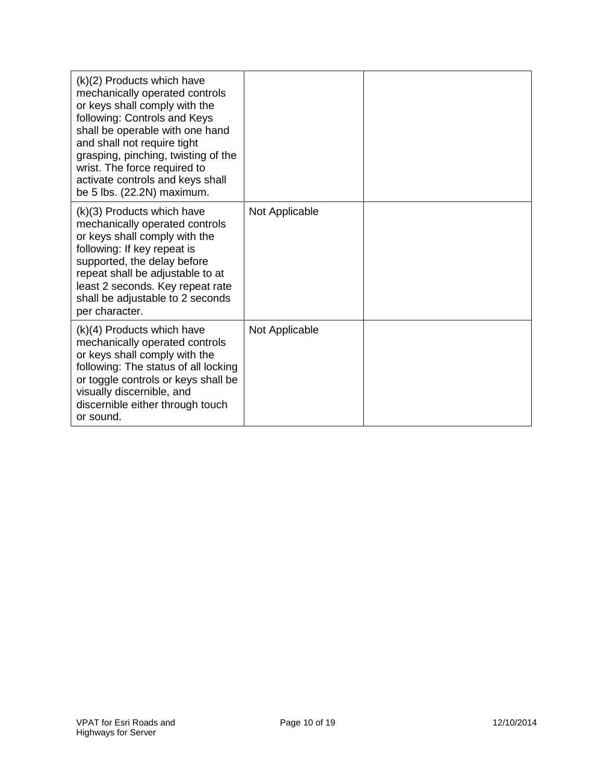| $(k)(2)$ Products which have<br>mechanically operated controls<br>or keys shall comply with the<br>following: Controls and Keys<br>shall be operable with one hand<br>and shall not require tight<br>grasping, pinching, twisting of the<br>wrist. The force required to<br>activate controls and keys shall<br>be 5 lbs. (22.2N) maximum. |                |  |
|--------------------------------------------------------------------------------------------------------------------------------------------------------------------------------------------------------------------------------------------------------------------------------------------------------------------------------------------|----------------|--|
| (k)(3) Products which have<br>mechanically operated controls<br>or keys shall comply with the<br>following: If key repeat is<br>supported, the delay before<br>repeat shall be adjustable to at<br>least 2 seconds. Key repeat rate<br>shall be adjustable to 2 seconds<br>per character.                                                  | Not Applicable |  |
| $(k)(4)$ Products which have<br>mechanically operated controls<br>or keys shall comply with the<br>following: The status of all locking<br>or toggle controls or keys shall be<br>visually discernible, and<br>discernible either through touch<br>or sound.                                                                               | Not Applicable |  |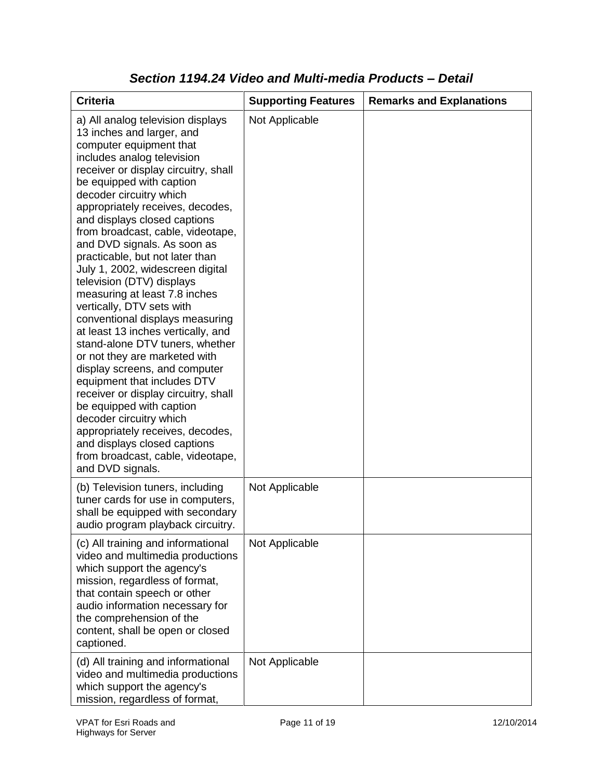| <b>Criteria</b>                                                                                                                                                                                                                                                                                                                                                                                                                                                                                                                                                                                                                                                                                                                                                                                                                                                                                                                                                           | <b>Supporting Features</b> | <b>Remarks and Explanations</b> |
|---------------------------------------------------------------------------------------------------------------------------------------------------------------------------------------------------------------------------------------------------------------------------------------------------------------------------------------------------------------------------------------------------------------------------------------------------------------------------------------------------------------------------------------------------------------------------------------------------------------------------------------------------------------------------------------------------------------------------------------------------------------------------------------------------------------------------------------------------------------------------------------------------------------------------------------------------------------------------|----------------------------|---------------------------------|
| a) All analog television displays<br>13 inches and larger, and<br>computer equipment that<br>includes analog television<br>receiver or display circuitry, shall<br>be equipped with caption<br>decoder circuitry which<br>appropriately receives, decodes,<br>and displays closed captions<br>from broadcast, cable, videotape,<br>and DVD signals. As soon as<br>practicable, but not later than<br>July 1, 2002, widescreen digital<br>television (DTV) displays<br>measuring at least 7.8 inches<br>vertically, DTV sets with<br>conventional displays measuring<br>at least 13 inches vertically, and<br>stand-alone DTV tuners, whether<br>or not they are marketed with<br>display screens, and computer<br>equipment that includes DTV<br>receiver or display circuitry, shall<br>be equipped with caption<br>decoder circuitry which<br>appropriately receives, decodes,<br>and displays closed captions<br>from broadcast, cable, videotape,<br>and DVD signals. | Not Applicable             |                                 |
| (b) Television tuners, including<br>tuner cards for use in computers,<br>shall be equipped with secondary<br>audio program playback circuitry.                                                                                                                                                                                                                                                                                                                                                                                                                                                                                                                                                                                                                                                                                                                                                                                                                            | Not Applicable             |                                 |
| (c) All training and informational<br>video and multimedia productions<br>which support the agency's<br>mission, regardless of format,<br>that contain speech or other<br>audio information necessary for<br>the comprehension of the<br>content, shall be open or closed<br>captioned.                                                                                                                                                                                                                                                                                                                                                                                                                                                                                                                                                                                                                                                                                   | Not Applicable             |                                 |
| (d) All training and informational<br>video and multimedia productions<br>which support the agency's<br>mission, regardless of format,                                                                                                                                                                                                                                                                                                                                                                                                                                                                                                                                                                                                                                                                                                                                                                                                                                    | Not Applicable             |                                 |

## *Section 1194.24 Video and Multi-media Products – Detail*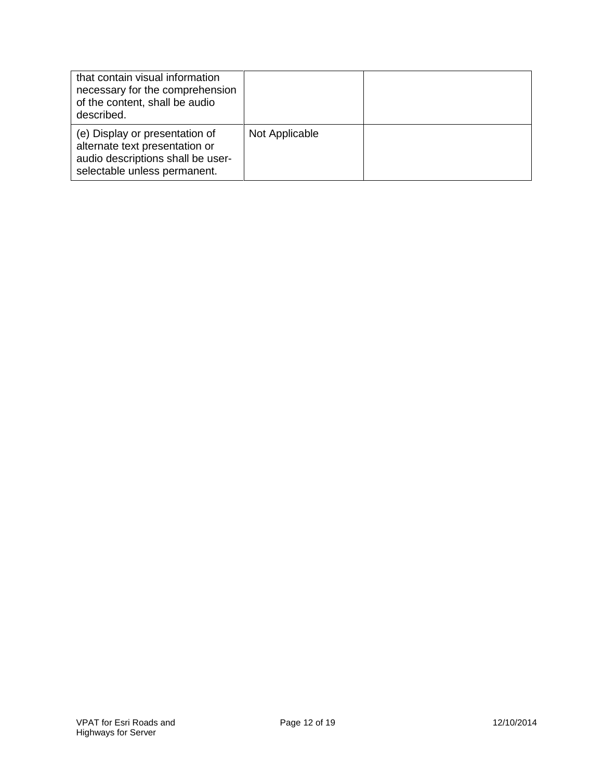| that contain visual information<br>necessary for the comprehension<br>of the content, shall be audio<br>described.                    |                |  |
|---------------------------------------------------------------------------------------------------------------------------------------|----------------|--|
| (e) Display or presentation of<br>alternate text presentation or<br>audio descriptions shall be user-<br>selectable unless permanent. | Not Applicable |  |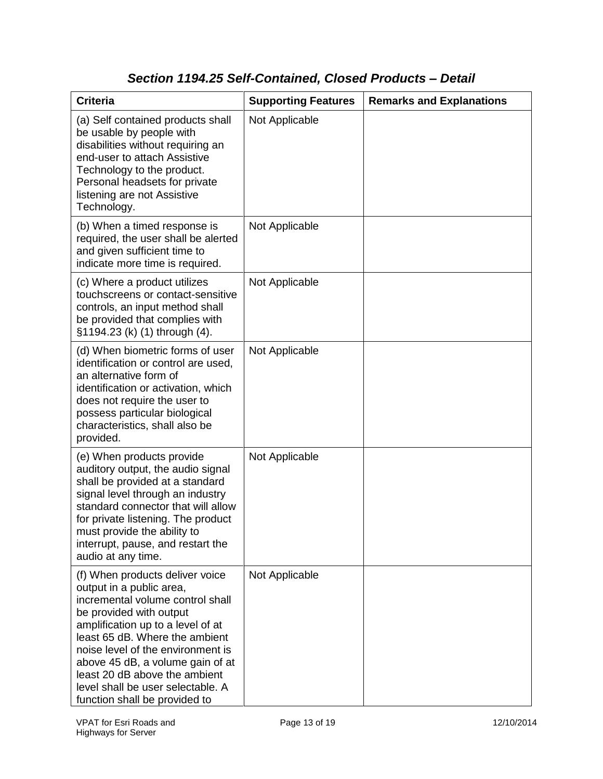## *Section 1194.25 Self-Contained, Closed Products – Detail*

| <b>Criteria</b>                                                                                                                                                                                                                                                                                                                                                                   | <b>Supporting Features</b> | <b>Remarks and Explanations</b> |
|-----------------------------------------------------------------------------------------------------------------------------------------------------------------------------------------------------------------------------------------------------------------------------------------------------------------------------------------------------------------------------------|----------------------------|---------------------------------|
| (a) Self contained products shall<br>be usable by people with<br>disabilities without requiring an<br>end-user to attach Assistive<br>Technology to the product.<br>Personal headsets for private<br>listening are not Assistive<br>Technology.                                                                                                                                   | Not Applicable             |                                 |
| (b) When a timed response is<br>required, the user shall be alerted<br>and given sufficient time to<br>indicate more time is required.                                                                                                                                                                                                                                            | Not Applicable             |                                 |
| (c) Where a product utilizes<br>touchscreens or contact-sensitive<br>controls, an input method shall<br>be provided that complies with<br>§1194.23 (k) (1) through (4).                                                                                                                                                                                                           | Not Applicable             |                                 |
| (d) When biometric forms of user<br>identification or control are used,<br>an alternative form of<br>identification or activation, which<br>does not require the user to<br>possess particular biological<br>characteristics, shall also be<br>provided.                                                                                                                          | Not Applicable             |                                 |
| (e) When products provide<br>auditory output, the audio signal<br>shall be provided at a standard<br>signal level through an industry<br>standard connector that will allow<br>for private listening. The product<br>must provide the ability to<br>interrupt, pause, and restart the<br>audio at any time.                                                                       | Not Applicable             |                                 |
| (f) When products deliver voice<br>output in a public area,<br>incremental volume control shall<br>be provided with output<br>amplification up to a level of at<br>least 65 dB. Where the ambient<br>noise level of the environment is<br>above 45 dB, a volume gain of at<br>least 20 dB above the ambient<br>level shall be user selectable. A<br>function shall be provided to | Not Applicable             |                                 |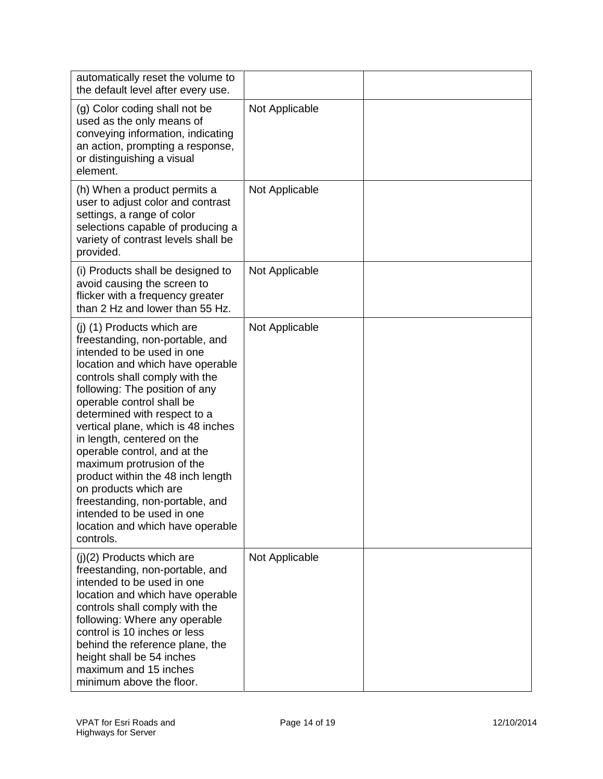| automatically reset the volume to                                                                                                                                                                                                                                                                                                                                                                                                                                                                                                                                                 |                |  |
|-----------------------------------------------------------------------------------------------------------------------------------------------------------------------------------------------------------------------------------------------------------------------------------------------------------------------------------------------------------------------------------------------------------------------------------------------------------------------------------------------------------------------------------------------------------------------------------|----------------|--|
| the default level after every use.                                                                                                                                                                                                                                                                                                                                                                                                                                                                                                                                                |                |  |
| (g) Color coding shall not be<br>used as the only means of<br>conveying information, indicating<br>an action, prompting a response,<br>or distinguishing a visual<br>element.                                                                                                                                                                                                                                                                                                                                                                                                     | Not Applicable |  |
| (h) When a product permits a<br>user to adjust color and contrast<br>settings, a range of color<br>selections capable of producing a<br>variety of contrast levels shall be<br>provided.                                                                                                                                                                                                                                                                                                                                                                                          | Not Applicable |  |
| (i) Products shall be designed to<br>avoid causing the screen to<br>flicker with a frequency greater<br>than 2 Hz and lower than 55 Hz.                                                                                                                                                                                                                                                                                                                                                                                                                                           | Not Applicable |  |
| (j) (1) Products which are<br>freestanding, non-portable, and<br>intended to be used in one<br>location and which have operable<br>controls shall comply with the<br>following: The position of any<br>operable control shall be<br>determined with respect to a<br>vertical plane, which is 48 inches<br>in length, centered on the<br>operable control, and at the<br>maximum protrusion of the<br>product within the 48 inch length<br>on products which are<br>freestanding, non-portable, and<br>intended to be used in one<br>location and which have operable<br>controls. | Not Applicable |  |
| $(j)(2)$ Products which are<br>freestanding, non-portable, and<br>intended to be used in one<br>location and which have operable<br>controls shall comply with the<br>following: Where any operable<br>control is 10 inches or less<br>behind the reference plane, the<br>height shall be 54 inches<br>maximum and 15 inches<br>minimum above the floor.                                                                                                                                                                                                                          | Not Applicable |  |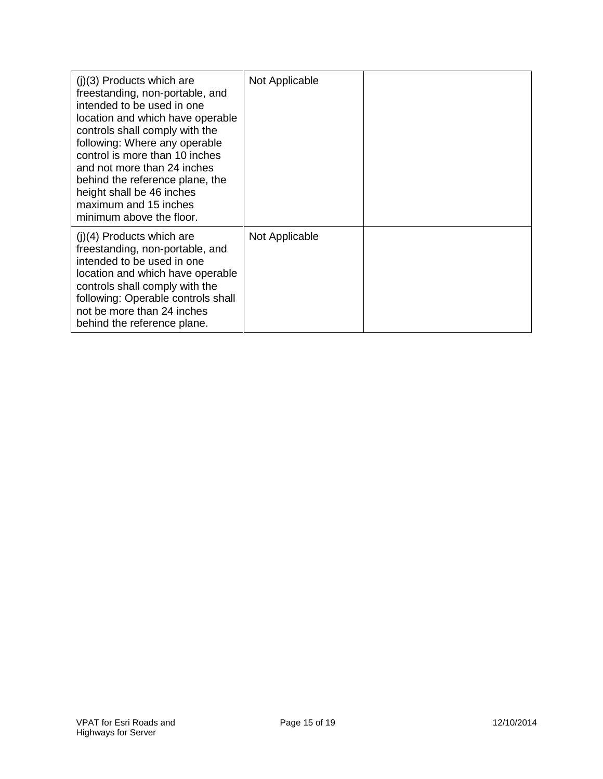| $(i)(3)$ Products which are<br>freestanding, non-portable, and<br>intended to be used in one<br>location and which have operable<br>controls shall comply with the<br>following: Where any operable<br>control is more than 10 inches<br>and not more than 24 inches<br>behind the reference plane, the<br>height shall be 46 inches<br>maximum and 15 inches<br>minimum above the floor. | Not Applicable |  |
|-------------------------------------------------------------------------------------------------------------------------------------------------------------------------------------------------------------------------------------------------------------------------------------------------------------------------------------------------------------------------------------------|----------------|--|
| $(i)(4)$ Products which are<br>freestanding, non-portable, and<br>intended to be used in one<br>location and which have operable<br>controls shall comply with the<br>following: Operable controls shall<br>not be more than 24 inches<br>behind the reference plane.                                                                                                                     | Not Applicable |  |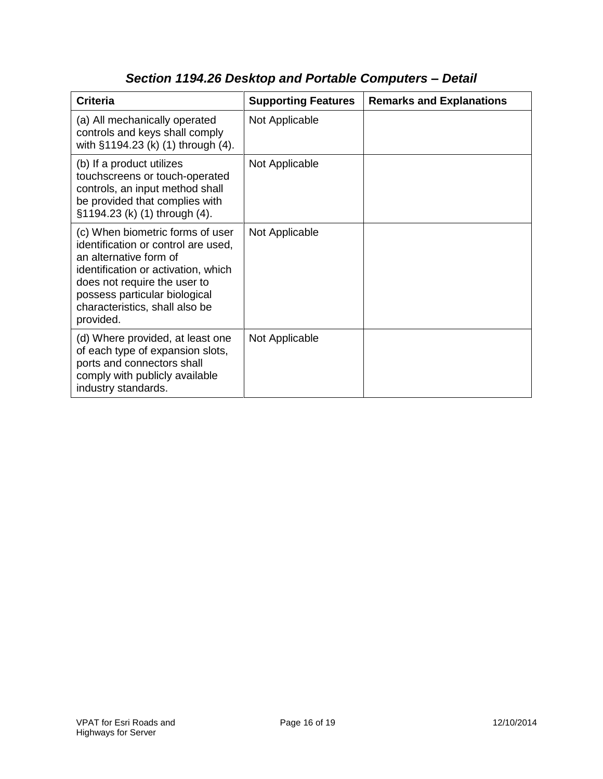| <b>Criteria</b>                                                                                                                                                                                                                                          | <b>Supporting Features</b> | <b>Remarks and Explanations</b> |
|----------------------------------------------------------------------------------------------------------------------------------------------------------------------------------------------------------------------------------------------------------|----------------------------|---------------------------------|
| (a) All mechanically operated<br>controls and keys shall comply<br>with §1194.23 (k) (1) through (4).                                                                                                                                                    | Not Applicable             |                                 |
| (b) If a product utilizes<br>touchscreens or touch-operated<br>controls, an input method shall<br>be provided that complies with<br>§1194.23 (k) (1) through (4).                                                                                        | Not Applicable             |                                 |
| (c) When biometric forms of user<br>identification or control are used,<br>an alternative form of<br>identification or activation, which<br>does not require the user to<br>possess particular biological<br>characteristics, shall also be<br>provided. | Not Applicable             |                                 |
| (d) Where provided, at least one<br>of each type of expansion slots,<br>ports and connectors shall<br>comply with publicly available<br>industry standards.                                                                                              | Not Applicable             |                                 |

# *Section 1194.26 Desktop and Portable Computers – Detail*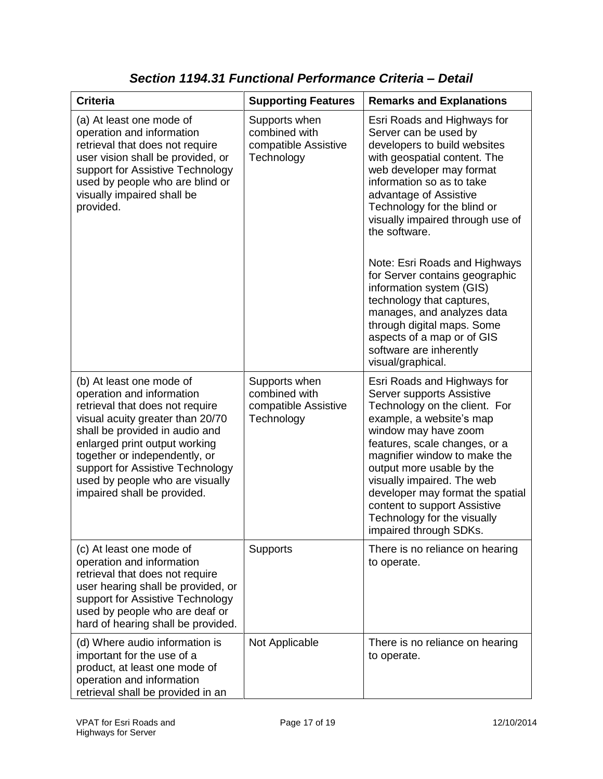| <b>Criteria</b>                                                                                                                                                                                                                                                                                                                        | <b>Supporting Features</b>                                           | <b>Remarks and Explanations</b>                                                                                                                                                                                                                                                                                                                                                                                                                                                                                                              |
|----------------------------------------------------------------------------------------------------------------------------------------------------------------------------------------------------------------------------------------------------------------------------------------------------------------------------------------|----------------------------------------------------------------------|----------------------------------------------------------------------------------------------------------------------------------------------------------------------------------------------------------------------------------------------------------------------------------------------------------------------------------------------------------------------------------------------------------------------------------------------------------------------------------------------------------------------------------------------|
| (a) At least one mode of<br>operation and information<br>retrieval that does not require<br>user vision shall be provided, or<br>support for Assistive Technology<br>used by people who are blind or<br>visually impaired shall be<br>provided.                                                                                        | Supports when<br>combined with<br>compatible Assistive<br>Technology | Esri Roads and Highways for<br>Server can be used by<br>developers to build websites<br>with geospatial content. The<br>web developer may format<br>information so as to take<br>advantage of Assistive<br>Technology for the blind or<br>visually impaired through use of<br>the software.<br>Note: Esri Roads and Highways<br>for Server contains geographic<br>information system (GIS)<br>technology that captures,<br>manages, and analyzes data<br>through digital maps. Some<br>aspects of a map or of GIS<br>software are inherently |
| (b) At least one mode of<br>operation and information<br>retrieval that does not require<br>visual acuity greater than 20/70<br>shall be provided in audio and<br>enlarged print output working<br>together or independently, or<br>support for Assistive Technology<br>used by people who are visually<br>impaired shall be provided. | Supports when<br>combined with<br>compatible Assistive<br>Technology | visual/graphical.<br>Esri Roads and Highways for<br>Server supports Assistive<br>Technology on the client. For<br>example, a website's map<br>window may have zoom<br>features, scale changes, or a<br>magnifier window to make the<br>output more usable by the<br>visually impaired. The web<br>developer may format the spatial<br>content to support Assistive<br>Technology for the visually<br>impaired through SDKs.                                                                                                                  |
| (c) At least one mode of<br>operation and information<br>retrieval that does not require<br>user hearing shall be provided, or<br>support for Assistive Technology<br>used by people who are deaf or<br>hard of hearing shall be provided.                                                                                             | <b>Supports</b>                                                      | There is no reliance on hearing<br>to operate.                                                                                                                                                                                                                                                                                                                                                                                                                                                                                               |
| (d) Where audio information is<br>important for the use of a<br>product, at least one mode of<br>operation and information<br>retrieval shall be provided in an                                                                                                                                                                        | Not Applicable                                                       | There is no reliance on hearing<br>to operate.                                                                                                                                                                                                                                                                                                                                                                                                                                                                                               |

*Section 1194.31 Functional Performance Criteria – Detail*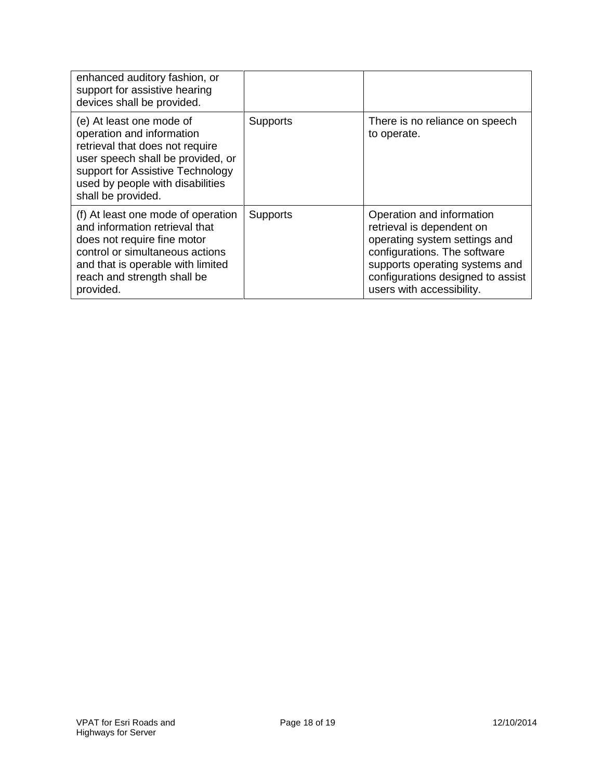| enhanced auditory fashion, or<br>support for assistive hearing<br>devices shall be provided.                                                                                                                                |                 |                                                                                                                                                                                                                             |
|-----------------------------------------------------------------------------------------------------------------------------------------------------------------------------------------------------------------------------|-----------------|-----------------------------------------------------------------------------------------------------------------------------------------------------------------------------------------------------------------------------|
| (e) At least one mode of<br>operation and information<br>retrieval that does not require<br>user speech shall be provided, or<br>support for Assistive Technology<br>used by people with disabilities<br>shall be provided. | <b>Supports</b> | There is no reliance on speech<br>to operate.                                                                                                                                                                               |
| (f) At least one mode of operation<br>and information retrieval that<br>does not require fine motor<br>control or simultaneous actions<br>and that is operable with limited<br>reach and strength shall be<br>provided.     | <b>Supports</b> | Operation and information<br>retrieval is dependent on<br>operating system settings and<br>configurations. The software<br>supports operating systems and<br>configurations designed to assist<br>users with accessibility. |